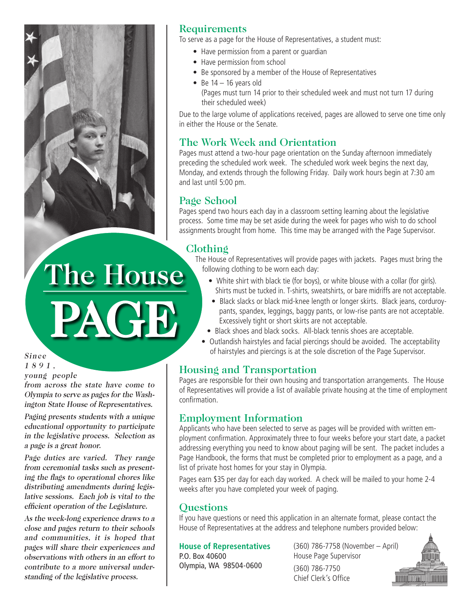

# **Requirements**

To serve as a page for the House of Representatives, a student must:

- Have permission from a parent or guardian
- Have permission from school
- Be sponsored by a member of the House of Representatives
- Be  $14 16$  years old (Pages must turn 14 prior to their scheduled week and must not turn 17 during their scheduled week)

Due to the large volume of applications received, pages are allowed to serve one time only in either the House or the Senate.

# The Work Week and Orientation

Pages must attend a two-hour page orientation on the Sunday afternoon immediately preceding the scheduled work week. The scheduled work week begins the next day, Monday, and extends through the following Friday. Daily work hours begin at 7:30 am and last until 5:00 pm.

# Page School

Pages spend two hours each day in a classroom setting learning about the legislative process. Some time may be set aside during the week for pages who wish to do school assignments brought from home. This time may be arranged with the Page Supervisor.

# Clothing

The House of Representatives will provide pages with jackets. Pages must bring the following clothing to be worn each day:

- White shirt with black tie (for boys), or white blouse with a collar (for girls). Shirts must be tucked in. T-shirts, sweatshirts, or bare midriffs are not acceptable.
- Black slacks or black mid-knee length or longer skirts. Black jeans, corduroypants, spandex, leggings, baggy pants, or low-rise pants are not acceptable. Excessively tight or short skirts are not acceptable.
- Black shoes and black socks. All-black tennis shoes are acceptable.
- Outlandish hairstyles and facial piercings should be avoided. The acceptability of hairstyles and piercings is at the sole discretion of the Page Supervisor.

### Housing and Transportation

Pages are responsible for their own housing and transportation arrangements. The House of Representatives will provide a list of available private housing at the time of employment confirmation.

### Employment Information

Applicants who have been selected to serve as pages will be provided with written employment confirmation. Approximately three to four weeks before your start date, a packet addressing everything you need to know about paging will be sent. The packet includes a Page Handbook, the forms that must be completed prior to employment as a page, and a list of private host homes for your stay in Olympia.

Pages earn \$35 per day for each day worked. A check will be mailed to your home 2-4 weeks after you have completed your week of paging.

#### **Ouestions**

If you have questions or need this application in an alternate format, please contact the House of Representatives at the address and telephone numbers provided below:

#### **House of Representatives**

P.O. Box 40600 Olympia, WA 98504-0600 (360) 786-7758 (November – April) House Page Supervisor

(360) 786-7750 Chief Clerk's Office



Since 1 8 9 1 , young people

from across the state have come to Olympia to serve as pages for the Washington State House of Representatives.

PAGE

The House

Paging presents students with a unique educational opportunity to participate in the legislative process. Selection as a page is a great honor.

Page duties are varied. They range from ceremonial tasks such as presenting the flags to operational chores like distributing amendments during legislative sessions. Each job is vital to the efficient operation of the Legislature.

As the week-long experience draws to a close and pages return to their schools and communities, it is hoped that pages will share their experiences and observations with others in an effort to contribute to a more universal understanding of the legislative process.